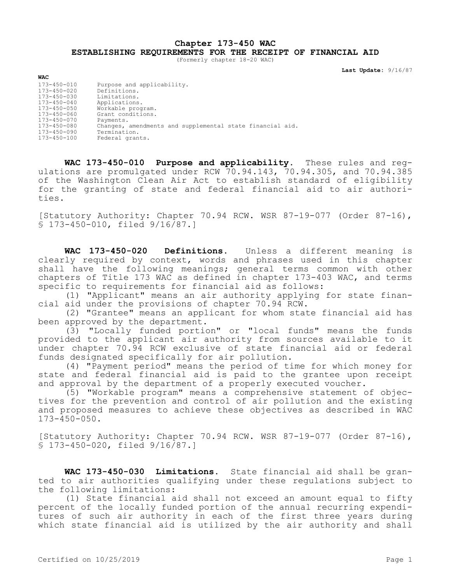**Chapter 173-450 WAC**

**ESTABLISHING REQUIREMENTS FOR THE RECEIPT OF FINANCIAL AID**

(Formerly chapter 18-20 WAC)

**Last Update:** 9/16/87

| WAC               |                                                           |
|-------------------|-----------------------------------------------------------|
| $173 - 450 - 010$ | Purpose and applicability.                                |
| 173-450-020       | Definitions.                                              |
| $173 - 450 - 030$ | Limitations.                                              |
| $173 - 450 - 040$ | Applications.                                             |
| 173-450-050       | Workable program.                                         |
| $173 - 450 - 060$ | Grant conditions.                                         |
| $173 - 450 - 070$ | Payments.                                                 |
| 173-450-080       | Changes, amendments and supplemental state financial aid. |
| $173 - 450 - 090$ | Termination.                                              |
| 173-450-100       | Federal grants.                                           |

**WAC 173-450-010 Purpose and applicability.** These rules and regulations are promulgated under RCW 70.94.143, 70.94.305, and 70.94.385 of the Washington Clean Air Act to establish standard of eligibility for the granting of state and federal financial aid to air authorities.

[Statutory Authority: Chapter 70.94 RCW. WSR 87-19-077 (Order 87-16), § 173-450-010, filed 9/16/87.]

**WAC 173-450-020 Definitions.** Unless a different meaning is clearly required by context, words and phrases used in this chapter shall have the following meanings; general terms common with other chapters of Title 173 WAC as defined in chapter 173-403 WAC, and terms specific to requirements for financial aid as follows:

(1) "Applicant" means an air authority applying for state financial aid under the provisions of chapter 70.94 RCW.

(2) "Grantee" means an applicant for whom state financial aid has been approved by the department.

(3) "Locally funded portion" or "local funds" means the funds provided to the applicant air authority from sources available to it under chapter 70.94 RCW exclusive of state financial aid or federal funds designated specifically for air pollution.

(4) "Payment period" means the period of time for which money for state and federal financial aid is paid to the grantee upon receipt and approval by the department of a properly executed voucher.

(5) "Workable program" means a comprehensive statement of objectives for the prevention and control of air pollution and the existing and proposed measures to achieve these objectives as described in WAC  $173 - 450 - 050$ .

[Statutory Authority: Chapter 70.94 RCW. WSR 87-19-077 (Order 87-16), § 173-450-020, filed 9/16/87.]

**WAC 173-450-030 Limitations.** State financial aid shall be granted to air authorities qualifying under these regulations subject to the following limitations:

(1) State financial aid shall not exceed an amount equal to fifty percent of the locally funded portion of the annual recurring expenditures of such air authority in each of the first three years during which state financial aid is utilized by the air authority and shall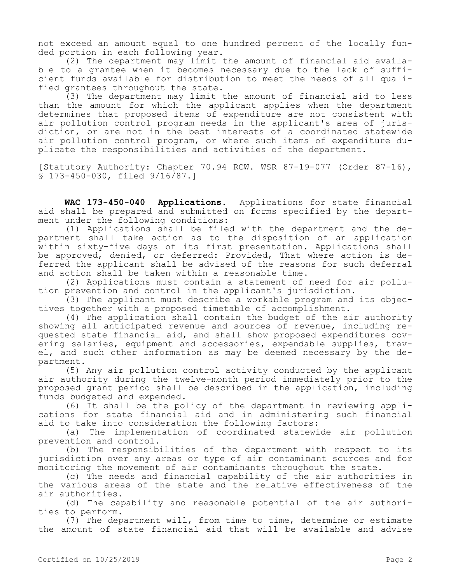not exceed an amount equal to one hundred percent of the locally funded portion in each following year.

(2) The department may limit the amount of financial aid available to a grantee when it becomes necessary due to the lack of sufficient funds available for distribution to meet the needs of all qualified grantees throughout the state.

(3) The department may limit the amount of financial aid to less than the amount for which the applicant applies when the department determines that proposed items of expenditure are not consistent with air pollution control program needs in the applicant's area of jurisdiction, or are not in the best interests of a coordinated statewide air pollution control program, or where such items of expenditure duplicate the responsibilities and activities of the department.

[Statutory Authority: Chapter 70.94 RCW. WSR 87-19-077 (Order 87-16), § 173-450-030, filed 9/16/87.]

**WAC 173-450-040 Applications.** Applications for state financial aid shall be prepared and submitted on forms specified by the department under the following conditions:

(1) Applications shall be filed with the department and the department shall take action as to the disposition of an application within sixty-five days of its first presentation. Applications shall be approved, denied, or deferred: Provided, That where action is deferred the applicant shall be advised of the reasons for such deferral and action shall be taken within a reasonable time.

(2) Applications must contain a statement of need for air pollution prevention and control in the applicant's jurisdiction.

(3) The applicant must describe a workable program and its objectives together with a proposed timetable of accomplishment.

(4) The application shall contain the budget of the air authority showing all anticipated revenue and sources of revenue, including requested state financial aid, and shall show proposed expenditures covering salaries, equipment and accessories, expendable supplies, travel, and such other information as may be deemed necessary by the department.

(5) Any air pollution control activity conducted by the applicant air authority during the twelve-month period immediately prior to the proposed grant period shall be described in the application, including funds budgeted and expended.

(6) It shall be the policy of the department in reviewing applications for state financial aid and in administering such financial aid to take into consideration the following factors:

(a) The implementation of coordinated statewide air pollution prevention and control.

(b) The responsibilities of the department with respect to its jurisdiction over any areas or type of air contaminant sources and for monitoring the movement of air contaminants throughout the state.

(c) The needs and financial capability of the air authorities in the various areas of the state and the relative effectiveness of the air authorities.

(d) The capability and reasonable potential of the air authorities to perform.

(7) The department will, from time to time, determine or estimate the amount of state financial aid that will be available and advise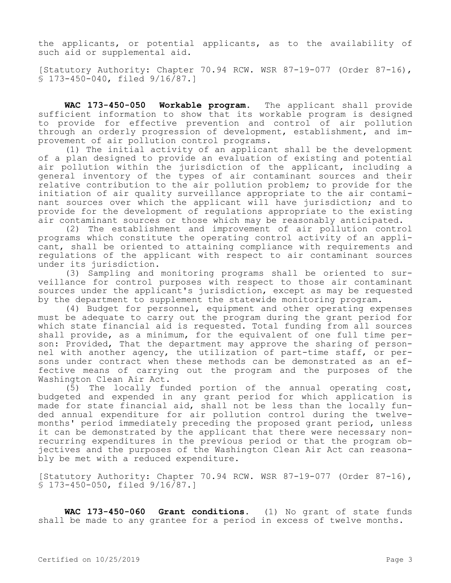the applicants, or potential applicants, as to the availability of such aid or supplemental aid.

[Statutory Authority: Chapter 70.94 RCW. WSR 87-19-077 (Order 87-16), § 173-450-040, filed 9/16/87.]

**WAC 173-450-050 Workable program.** The applicant shall provide sufficient information to show that its workable program is designed to provide for effective prevention and control of air pollution through an orderly progression of development, establishment, and improvement of air pollution control programs.

(1) The initial activity of an applicant shall be the development of a plan designed to provide an evaluation of existing and potential air pollution within the jurisdiction of the applicant, including a general inventory of the types of air contaminant sources and their relative contribution to the air pollution problem; to provide for the initiation of air quality surveillance appropriate to the air contaminant sources over which the applicant will have jurisdiction; and to provide for the development of regulations appropriate to the existing air contaminant sources or those which may be reasonably anticipated.

(2) The establishment and improvement of air pollution control programs which constitute the operating control activity of an applicant, shall be oriented to attaining compliance with requirements and regulations of the applicant with respect to air contaminant sources under its jurisdiction.

(3) Sampling and monitoring programs shall be oriented to surveillance for control purposes with respect to those air contaminant sources under the applicant's jurisdiction, except as may be requested by the department to supplement the statewide monitoring program.

(4) Budget for personnel, equipment and other operating expenses must be adequate to carry out the program during the grant period for which state financial aid is requested. Total funding from all sources shall provide, as a minimum, for the equivalent of one full time person: Provided, That the department may approve the sharing of personnel with another agency, the utilization of part-time staff, or persons under contract when these methods can be demonstrated as an effective means of carrying out the program and the purposes of the Washington Clean Air Act.

(5) The locally funded portion of the annual operating cost, budgeted and expended in any grant period for which application is made for state financial aid, shall not be less than the locally funded annual expenditure for air pollution control during the twelvemonths' period immediately preceding the proposed grant period, unless it can be demonstrated by the applicant that there were necessary nonrecurring expenditures in the previous period or that the program objectives and the purposes of the Washington Clean Air Act can reasonably be met with a reduced expenditure.

[Statutory Authority: Chapter 70.94 RCW. WSR 87-19-077 (Order 87-16), § 173-450-050, filed 9/16/87.]

**WAC 173-450-060 Grant conditions.** (1) No grant of state funds shall be made to any grantee for a period in excess of twelve months.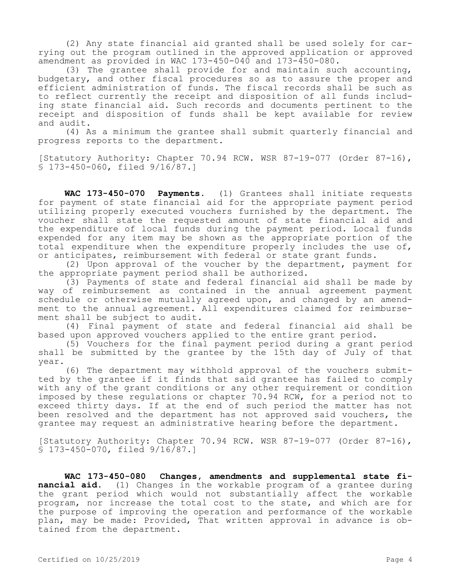(2) Any state financial aid granted shall be used solely for carrying out the program outlined in the approved application or approved amendment as provided in WAC 173-450-040 and 173-450-080.

(3) The grantee shall provide for and maintain such accounting, budgetary, and other fiscal procedures so as to assure the proper and efficient administration of funds. The fiscal records shall be such as to reflect currently the receipt and disposition of all funds including state financial aid. Such records and documents pertinent to the receipt and disposition of funds shall be kept available for review and audit.

(4) As a minimum the grantee shall submit quarterly financial and progress reports to the department.

[Statutory Authority: Chapter 70.94 RCW. WSR 87-19-077 (Order 87-16), § 173-450-060, filed 9/16/87.]

**WAC 173-450-070 Payments.** (1) Grantees shall initiate requests for payment of state financial aid for the appropriate payment period utilizing properly executed vouchers furnished by the department. The voucher shall state the requested amount of state financial aid and the expenditure of local funds during the payment period. Local funds expended for any item may be shown as the appropriate portion of the total expenditure when the expenditure properly includes the use of, or anticipates, reimbursement with federal or state grant funds.

(2) Upon approval of the voucher by the department, payment for the appropriate payment period shall be authorized.

(3) Payments of state and federal financial aid shall be made by way of reimbursement as contained in the annual agreement payment schedule or otherwise mutually agreed upon, and changed by an amendment to the annual agreement. All expenditures claimed for reimbursement shall be subject to audit.

(4) Final payment of state and federal financial aid shall be based upon approved vouchers applied to the entire grant period.

(5) Vouchers for the final payment period during a grant period shall be submitted by the grantee by the 15th day of July of that year.

(6) The department may withhold approval of the vouchers submitted by the grantee if it finds that said grantee has failed to comply with any of the grant conditions or any other requirement or condition imposed by these regulations or chapter 70.94 RCW, for a period not to exceed thirty days. If at the end of such period the matter has not been resolved and the department has not approved said vouchers, the grantee may request an administrative hearing before the department.

[Statutory Authority: Chapter 70.94 RCW. WSR 87-19-077 (Order 87-16), § 173-450-070, filed 9/16/87.]

**WAC 173-450-080 Changes, amendments and supplemental state financial aid.** (1) Changes in the workable program of a grantee during the grant period which would not substantially affect the workable program, nor increase the total cost to the state, and which are for the purpose of improving the operation and performance of the workable plan, may be made: Provided, That written approval in advance is obtained from the department.